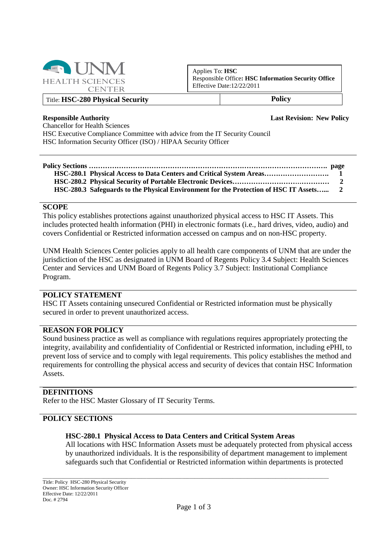

Applies To: **HSC** Responsible Office**: HSC Information Security Office** Effective Date:12/22/2011

### Title: **HSC-280 Physical Security Policy**

**Responsible Authority Last Revision: New Policy**

Chancellor for Health Sciences HSC Executive Compliance Committee with advice from the IT Security Council HSC Information Security Officer (ISO) / HIPAA Security Officer

# **Policy Sections …………………………………………………………………………………………. page**

**HSC-280.1 Physical Access to Data Centers and Critical System Areas………………………. 1 HSC-280.2 Physical Security of Portable Electronic Devices…………………………………… 2 HSC-280.3 Safeguards to the Physical Environment for the Protection of HSC IT Assets…... 2**

#### **SCOPE**

This policy establishes protections against unauthorized physical access to HSC IT Assets. This includes protected health information (PHI) in electronic formats (i.e., hard drives, video, audio) and covers Confidential or Restricted information accessed on campus and on non-HSC property.

UNM Health Sciences Center policies apply to all health care components of UNM that are under the jurisdiction of the HSC as designated in UNM Board of Regents Policy 3.4 Subject: Health Sciences Center and Services and UNM Board of Regents Policy 3.7 Subject: Institutional Compliance Program.

### **POLICY STATEMENT**

HSC IT Assets containing unsecured Confidential or Restricted information must be physically secured in order to prevent unauthorized access.

#### **REASON FOR POLICY**

Sound business practice as well as compliance with regulations requires appropriately protecting the integrity, availability and confidentiality of Confidential or Restricted information, including ePHI, to prevent loss of service and to comply with legal requirements. This policy establishes the method and requirements for controlling the physical access and security of devices that contain HSC Information Assets.

#### **DEFINITIONS**

Refer to the HSC Master Glossary of IT Security Terms.

### **POLICY SECTIONS**

#### **HSC-280.1 Physical Access to Data Centers and Critical System Areas**

\_\_\_\_\_\_\_\_\_\_\_\_\_\_\_\_\_\_\_\_\_\_\_\_\_\_\_\_\_\_\_\_\_\_\_\_\_\_\_\_\_\_\_\_\_\_\_\_\_\_\_\_\_\_\_\_\_\_\_\_\_\_\_\_\_\_\_\_\_\_\_\_\_\_\_\_\_\_\_\_\_\_\_\_\_\_\_\_\_\_\_\_\_\_\_\_\_\_\_\_\_\_\_\_\_\_\_\_\_\_\_\_\_

All locations with HSC Information Assets must be adequately protected from physical access by unauthorized individuals. It is the responsibility of department management to implement safeguards such that Confidential or Restricted information within departments is protected

Title: Policy HSC-280 Physical Security Owner: HSC Information Security Officer Effective Date: 12/22/2011 Doc. # 2794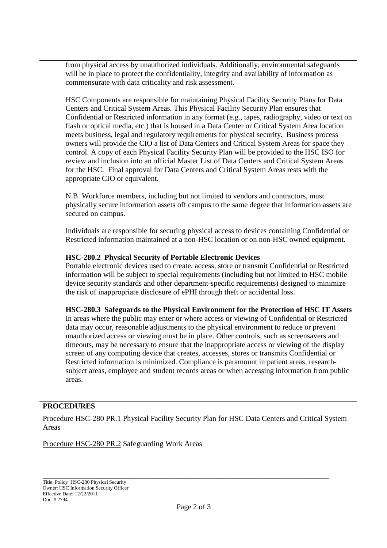from physical access by unauthorized individuals. Additionally, environmental safeguards will be in place to protect the confidentiality, integrity and availability of information as commensurate with data criticality and risk assessment.

HSC Components are responsible for maintaining Physical Facility Security Plans for Data Centers and Critical System Areas. This Physical Facility Security Plan ensures that Confidential or Restricted information in any format (e.g., tapes, radiography, video or text on flash or optical media, etc.) that is housed in a Data Center or Critical System Area location meets business, legal and regulatory requirements for physical security. Business process owners will provide the CIO a list of Data Centers and Critical System Areas for space they control. A copy of each Physical Facility Security Plan will be provided to the HSC ISO for review and inclusion into an official Master List of Data Centers and Critical System Areas for the HSC. Final approval for Data Centers and Critical System Areas rests with the appropriate CIO or equivalent.

N.B. Workforce members, including but not limited to vendors and contractors, must physically secure information assets off campus to the same degree that information assets are secured on campus.

Individuals are responsible for securing physical access to devices containing Confidential or Restricted information maintained at a non-HSC location or on non-HSC owned equipment.

# **HSC-280.2 Physical Security of Portable Electronic Devices**

Portable electronic devices used to create, access, store or transmit Confidential or Restricted information will be subject to special requirements (including but not limited to HSC mobile device security standards and other department-specific requirements) designed to minimize the risk of inappropriate disclosure of ePHI through theft or accidental loss.

# **HSC-280.3 Safeguards to the Physical Environment for the Protection of HSC IT Assets**

In areas where the public may enter or where access or viewing of Confidential or Restricted data may occur, reasonable adjustments to the physical environment to reduce or prevent unauthorized access or viewing must be in place. Other controls, such as screensavers and timeouts, may be necessary to ensure that the inappropriate access or viewing of the display screen of any computing device that creates, accesses, stores or transmits Confidential or Restricted information is minimized. Compliance is paramount in patient areas, researchsubject areas, employee and student records areas or when accessing information from public areas.

# **PROCEDURES**

Procedure HSC-280 PR.1 Physical Facility Security Plan for HSC Data Centers and Critical System Areas

Procedure HSC-280 PR.2 Safeguarding Work Areas

\_\_\_\_\_\_\_\_\_\_\_\_\_\_\_\_\_\_\_\_\_\_\_\_\_\_\_\_\_\_\_\_\_\_\_\_\_\_\_\_\_\_\_\_\_\_\_\_\_\_\_\_\_\_\_\_\_\_\_\_\_\_\_\_\_\_\_\_\_\_\_\_\_\_\_\_\_\_\_\_\_\_\_\_\_\_\_\_\_\_\_\_\_\_\_\_\_\_\_\_\_\_\_\_\_\_\_\_\_\_\_\_\_